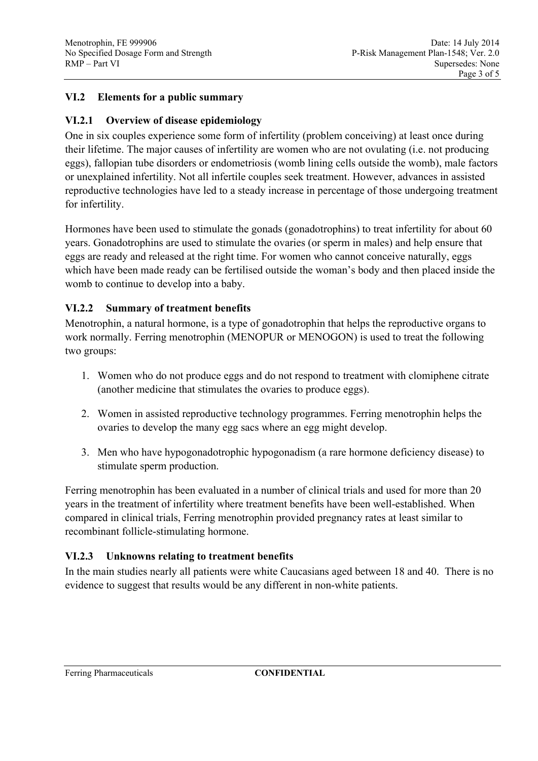# **VI.2 Elements for a public summary**

### **VI.2.1 Overview of disease epidemiology**

One in six couples experience some form of infertility (problem conceiving) at least once during their lifetime. The major causes of infertility are women who are not ovulating (i.e. not producing eggs), fallopian tube disorders or endometriosis (womb lining cells outside the womb), male factors or unexplained infertility. Not all infertile couples seek treatment. However, advances in assisted reproductive technologies have led to a steady increase in percentage of those undergoing treatment for infertility.

Hormones have been used to stimulate the gonads (gonadotrophins) to treat infertility for about 60 years. Gonadotrophins are used to stimulate the ovaries (or sperm in males) and help ensure that eggs are ready and released at the right time. For women who cannot conceive naturally, eggs which have been made ready can be fertilised outside the woman's body and then placed inside the womb to continue to develop into a baby.

### **VI.2.2 Summary of treatment benefits**

Menotrophin, a natural hormone, is a type of gonadotrophin that helps the reproductive organs to work normally. Ferring menotrophin (MENOPUR or MENOGON) is used to treat the following two groups:

- 1. Women who do not produce eggs and do not respond to treatment with clomiphene citrate (another medicine that stimulates the ovaries to produce eggs).
- 2. Women in assisted reproductive technology programmes. Ferring menotrophin helps the ovaries to develop the many egg sacs where an egg might develop.
- 3. Men who have hypogonadotrophic hypogonadism (a rare hormone deficiency disease) to stimulate sperm production.

Ferring menotrophin has been evaluated in a number of clinical trials and used for more than 20 years in the treatment of infertility where treatment benefits have been well-established. When compared in clinical trials, Ferring menotrophin provided pregnancy rates at least similar to recombinant follicle-stimulating hormone.

# **VI.2.3 Unknowns relating to treatment benefits**

In the main studies nearly all patients were white Caucasians aged between 18 and 40. There is no evidence to suggest that results would be any different in non-white patients.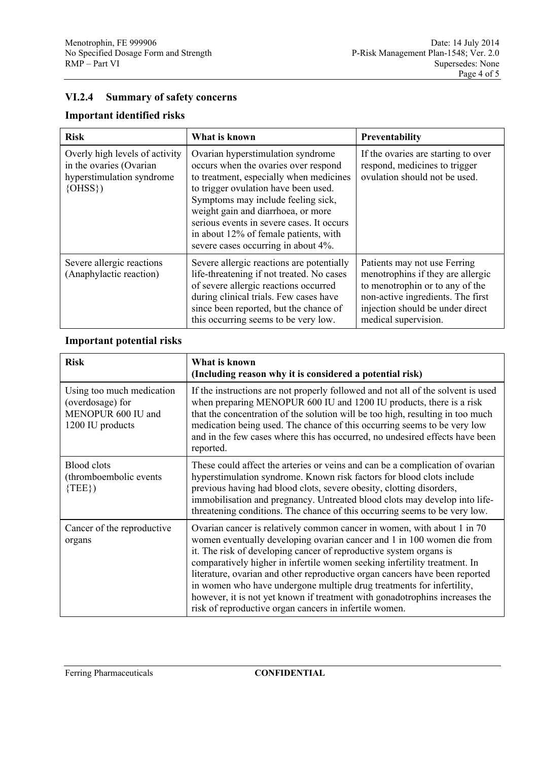# **VI.2.4 Summary of safety concerns**

# **Important identified risks**

| <b>Risk</b>                                                                                          | What is known                                                                                                                                                                                                                                                                                                                                                         | Preventability                                                                                                                                                                                        |
|------------------------------------------------------------------------------------------------------|-----------------------------------------------------------------------------------------------------------------------------------------------------------------------------------------------------------------------------------------------------------------------------------------------------------------------------------------------------------------------|-------------------------------------------------------------------------------------------------------------------------------------------------------------------------------------------------------|
| Overly high levels of activity<br>in the ovaries (Ovarian<br>hyperstimulation syndrome<br>$\{OHSS\}$ | Ovarian hyperstimulation syndrome<br>occurs when the ovaries over respond<br>to treatment, especially when medicines<br>to trigger ovulation have been used.<br>Symptoms may include feeling sick,<br>weight gain and diarrhoea, or more<br>serious events in severe cases. It occurs<br>in about 12% of female patients, with<br>severe cases occurring in about 4%. | If the ovaries are starting to over<br>respond, medicines to trigger<br>ovulation should not be used.                                                                                                 |
| Severe allergic reactions<br>(Anaphylactic reaction)                                                 | Severe allergic reactions are potentially<br>life-threatening if not treated. No cases<br>of severe allergic reactions occurred<br>during clinical trials. Few cases have<br>since been reported, but the chance of<br>this occurring seems to be very low.                                                                                                           | Patients may not use Ferring<br>menotrophins if they are allergic<br>to menotrophin or to any of the<br>non-active ingredients. The first<br>injection should be under direct<br>medical supervision. |

### **Important potential risks**

| <b>Risk</b>                                                                             | What is known<br>(Including reason why it is considered a potential risk)                                                                                                                                                                                                                                                                                                                                                                                                                                                                                                                             |
|-----------------------------------------------------------------------------------------|-------------------------------------------------------------------------------------------------------------------------------------------------------------------------------------------------------------------------------------------------------------------------------------------------------------------------------------------------------------------------------------------------------------------------------------------------------------------------------------------------------------------------------------------------------------------------------------------------------|
| Using too much medication<br>(overdosage) for<br>MENOPUR 600 IU and<br>1200 IU products | If the instructions are not properly followed and not all of the solvent is used<br>when preparing MENOPUR 600 IU and 1200 IU products, there is a risk<br>that the concentration of the solution will be too high, resulting in too much<br>medication being used. The chance of this occurring seems to be very low<br>and in the few cases where this has occurred, no undesired effects have been<br>reported.                                                                                                                                                                                    |
| <b>Blood</b> clots<br>(thromboembolic events<br>$\{TEE\}$                               | These could affect the arteries or veins and can be a complication of ovarian<br>hyperstimulation syndrome. Known risk factors for blood clots include<br>previous having had blood clots, severe obesity, clotting disorders,<br>immobilisation and pregnancy. Untreated blood clots may develop into life-<br>threatening conditions. The chance of this occurring seems to be very low.                                                                                                                                                                                                            |
| Cancer of the reproductive<br>organs                                                    | Ovarian cancer is relatively common cancer in women, with about 1 in 70<br>women eventually developing ovarian cancer and 1 in 100 women die from<br>it. The risk of developing cancer of reproductive system organs is<br>comparatively higher in infertile women seeking infertility treatment. In<br>literature, ovarian and other reproductive organ cancers have been reported<br>in women who have undergone multiple drug treatments for infertility,<br>however, it is not yet known if treatment with gonadotrophins increases the<br>risk of reproductive organ cancers in infertile women. |